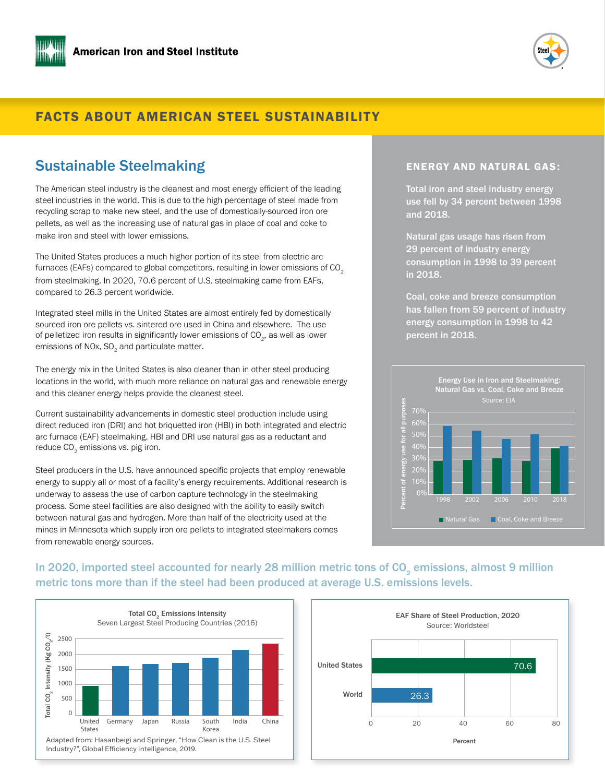



### FACTS ABOUT AMERICAN STEEL SUSTAINABILITY

### Sustainable Steelmaking

The American steel industry is the cleanest and most energy efficient of the leading steel industries in the world. This is due to the high percentage of steel made from recycling scrap to make new steel, and the use of domestically-sourced iron ore pellets, as well as the increasing use of natural gas in place of coal and coke to make iron and steel with lower emissions.

The United States produces a much higher portion of its steel from electric arc furnaces (EAFs) compared to global competitors, resulting in lower emissions of  $CO<sub>2</sub>$ from steelmaking. In 2020, 70.6 percent of U.S. steelmaking came from EAFs, compared to 26.3 percent worldwide.

Integrated steel mills in the United States are almost entirely fed by domestically sourced iron ore pellets vs. sintered ore used in China and elsewhere. The use of pelletized iron results in significantly lower emissions of CO $_{_2}$ , as well as lower emissions of NOx, SO $_{\rm 2}$  and particulate matter.

The energy mix in the United States is also cleaner than in other steel producing locations in the world, with much more reliance on natural gas and renewable energy and this cleaner energy helps provide the cleanest steel.

Current sustainability advancements in domestic steel production include using direct reduced iron (DRI) and hot briquetted iron (HBI) in both integrated and electric arc furnace (EAF) steelmaking. HBI and DRI use natural gas as a reductant and reduce CO $_{\textrm{\tiny{2}}}$  emissions vs. pig iron.

Steel producers in the U.S. have announced specific projects that employ renewable energy to supply all or most of a facility's energy requirements. Additional research is underway to assess the use of carbon capture technology in the steelmaking process. Some steel facilities are also designed with the ability to easily switch between natural gas and hydrogen. More than half of the electricity used at the mines in Minnesota which supply iron ore pellets to integrated steelmakers comes from renewable energy sources.

#### ENERGY AND NATURAL GAS:

Total iron and steel industry energy use fell by 34 percent between 1998 and 2018.

Natural gas usage has risen from 29 percent of industry energy consumption in 1998 to 39 percent in 2018.

Coal, coke and breeze consumption has fallen from 59 percent of industry energy consumption in 1998 to 42 percent in 2018.



### In 2020, imported steel accounted for nearly 28 million metric tons of CO<sub>2</sub> emissions, almost 9 million metric tons more than if the steel had been produced at average U.S. emissions levels.